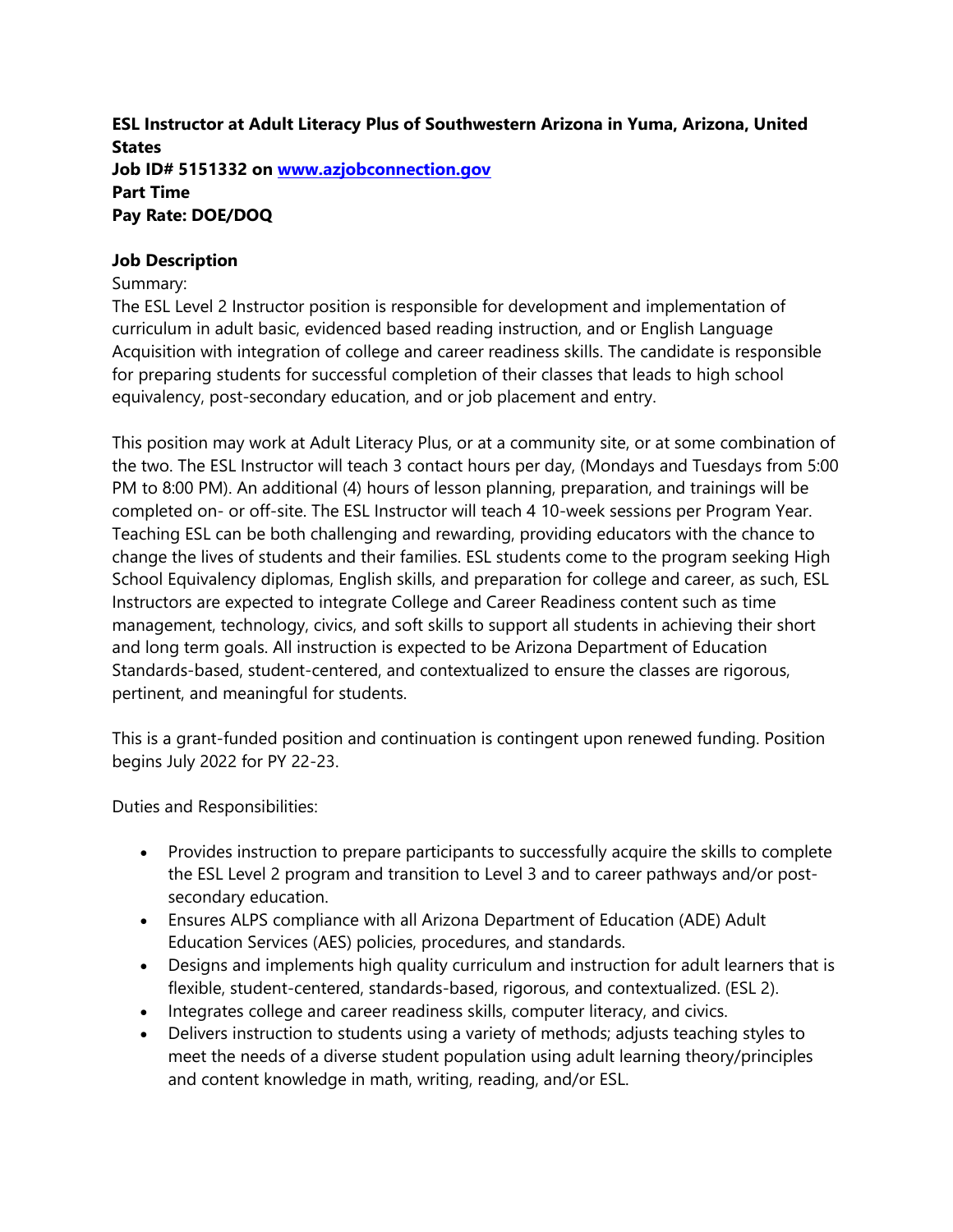**ESL Instructor at Adult Literacy Plus of Southwestern Arizona in Yuma, Arizona, United States Job ID# 5151332 on [www.azjobconnection.gov](http://www.azjobconnection.gov/) Part Time Pay Rate: DOE/DOQ**

### **Job Description**

### Summary:

The ESL Level 2 Instructor position is responsible for development and implementation of curriculum in adult basic, evidenced based reading instruction, and or English Language Acquisition with integration of college and career readiness skills. The candidate is responsible for preparing students for successful completion of their classes that leads to high school equivalency, post-secondary education, and or job placement and entry.

This position may work at Adult Literacy Plus, or at a community site, or at some combination of the two. The ESL Instructor will teach 3 contact hours per day, (Mondays and Tuesdays from 5:00 PM to 8:00 PM). An additional (4) hours of lesson planning, preparation, and trainings will be completed on- or off-site. The ESL Instructor will teach 4 10-week sessions per Program Year. Teaching ESL can be both challenging and rewarding, providing educators with the chance to change the lives of students and their families. ESL students come to the program seeking High School Equivalency diplomas, English skills, and preparation for college and career, as such, ESL Instructors are expected to integrate College and Career Readiness content such as time management, technology, civics, and soft skills to support all students in achieving their short and long term goals. All instruction is expected to be Arizona Department of Education Standards-based, student-centered, and contextualized to ensure the classes are rigorous, pertinent, and meaningful for students.

This is a grant-funded position and continuation is contingent upon renewed funding. Position begins July 2022 for PY 22-23.

Duties and Responsibilities:

- Provides instruction to prepare participants to successfully acquire the skills to complete the ESL Level 2 program and transition to Level 3 and to career pathways and/or postsecondary education.
- Ensures ALPS compliance with all Arizona Department of Education (ADE) Adult Education Services (AES) policies, procedures, and standards.
- Designs and implements high quality curriculum and instruction for adult learners that is flexible, student-centered, standards-based, rigorous, and contextualized. (ESL 2).
- Integrates college and career readiness skills, computer literacy, and civics.
- Delivers instruction to students using a variety of methods; adjusts teaching styles to meet the needs of a diverse student population using adult learning theory/principles and content knowledge in math, writing, reading, and/or ESL.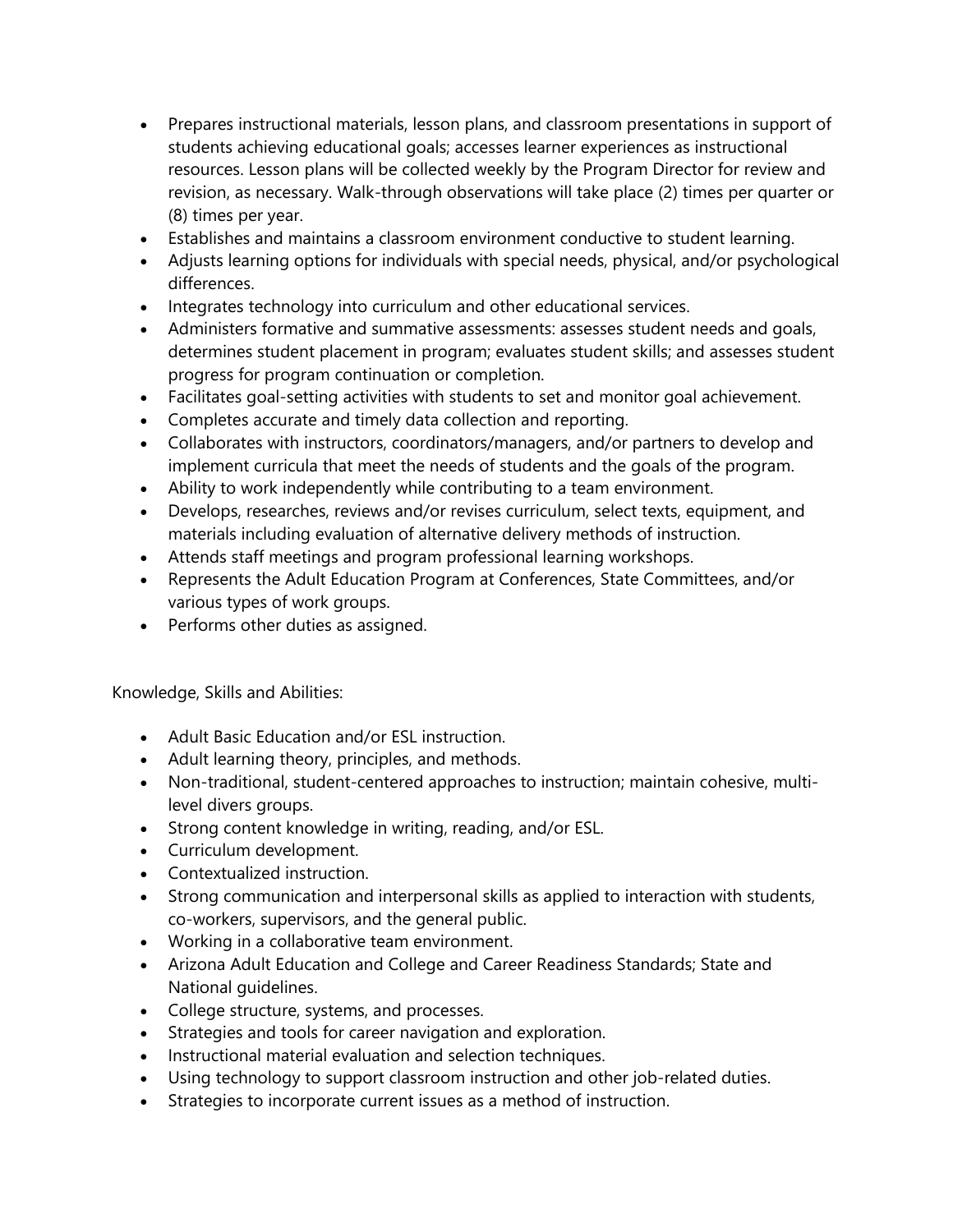- Prepares instructional materials, lesson plans, and classroom presentations in support of students achieving educational goals; accesses learner experiences as instructional resources. Lesson plans will be collected weekly by the Program Director for review and revision, as necessary. Walk-through observations will take place (2) times per quarter or (8) times per year.
- Establishes and maintains a classroom environment conductive to student learning.
- Adjusts learning options for individuals with special needs, physical, and/or psychological differences.
- Integrates technology into curriculum and other educational services.
- Administers formative and summative assessments: assesses student needs and goals, determines student placement in program; evaluates student skills; and assesses student progress for program continuation or completion.
- Facilitates goal-setting activities with students to set and monitor goal achievement.
- Completes accurate and timely data collection and reporting.
- Collaborates with instructors, coordinators/managers, and/or partners to develop and implement curricula that meet the needs of students and the goals of the program.
- Ability to work independently while contributing to a team environment.
- Develops, researches, reviews and/or revises curriculum, select texts, equipment, and materials including evaluation of alternative delivery methods of instruction.
- Attends staff meetings and program professional learning workshops.
- Represents the Adult Education Program at Conferences, State Committees, and/or various types of work groups.
- Performs other duties as assigned.

Knowledge, Skills and Abilities:

- Adult Basic Education and/or ESL instruction.
- Adult learning theory, principles, and methods.
- Non-traditional, student-centered approaches to instruction; maintain cohesive, multilevel divers groups.
- Strong content knowledge in writing, reading, and/or ESL.
- Curriculum development.
- Contextualized instruction.
- Strong communication and interpersonal skills as applied to interaction with students, co-workers, supervisors, and the general public.
- Working in a collaborative team environment.
- Arizona Adult Education and College and Career Readiness Standards; State and National guidelines.
- College structure, systems, and processes.
- Strategies and tools for career navigation and exploration.
- Instructional material evaluation and selection techniques.
- Using technology to support classroom instruction and other job-related duties.
- Strategies to incorporate current issues as a method of instruction.